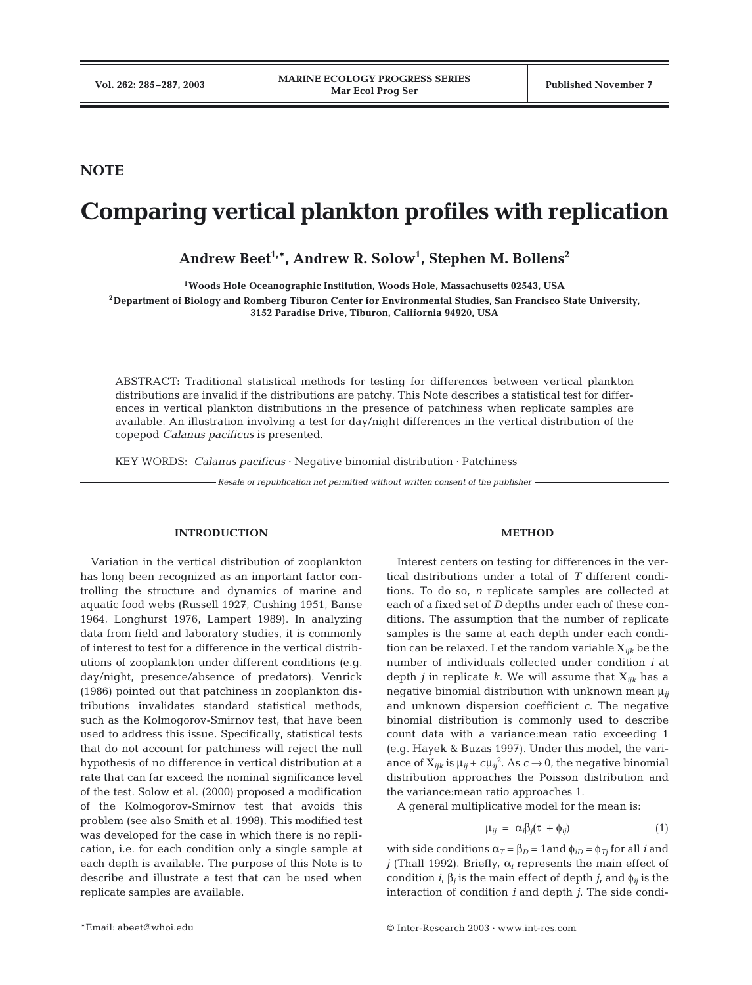# **NOTE**

# **Comparing vertical plankton profiles with replication**

**Andrew Beet1,\*, Andrew R. Solow1 , Stephen M. Bollens2**

**1Woods Hole Oceanographic Institution, Woods Hole, Massachusetts 02543, USA**

**2Department of Biology and Romberg Tiburon Center for Environmental Studies, San Francisco State University, 3152 Paradise Drive, Tiburon, California 94920, USA**

ABSTRACT: Traditional statistical methods for testing for differences between vertical plankton distributions are invalid if the distributions are patchy. This Note describes a statistical test for differences in vertical plankton distributions in the presence of patchiness when replicate samples are available. An illustration involving a test for day/night differences in the vertical distribution of the copepod *Calanus pacificus* is presented.

KEY WORDS: *Calanus pacificus* · Negative binomial distribution · Patchiness

*Resale or republication not permitted without written consent of the publisher*

## **INTRODUCTION**

Variation in the vertical distribution of zooplankton has long been recognized as an important factor controlling the structure and dynamics of marine and aquatic food webs (Russell 1927, Cushing 1951, Banse 1964, Longhurst 1976, Lampert 1989). In analyzing data from field and laboratory studies, it is commonly of interest to test for a difference in the vertical distributions of zooplankton under different conditions (e.g. day/night, presence/absence of predators). Venrick (1986) pointed out that patchiness in zooplankton distributions invalidates standard statistical methods, such as the Kolmogorov-Smirnov test, that have been used to address this issue. Specifically, statistical tests that do not account for patchiness will reject the null hypothesis of no difference in vertical distribution at a rate that can far exceed the nominal significance level of the test. Solow et al. (2000) proposed a modification of the Kolmogorov-Smirnov test that avoids this problem (see also Smith et al. 1998). This modified test was developed for the case in which there is no replication, i.e. for each condition only a single sample at each depth is available. The purpose of this Note is to describe and illustrate a test that can be used when replicate samples are available.

### **METHOD**

Interest centers on testing for differences in the vertical distributions under a total of *T* different conditions. To do so, *n* replicate samples are collected at each of a fixed set of *D* depths under each of these conditions. The assumption that the number of replicate samples is the same at each depth under each condition can be relaxed. Let the random variable Χ*ijk* be the number of individuals collected under condition *i* at depth *j* in replicate *k*. We will assume that Χ*ijk* has a negative binomial distribution with unknown mean  $\mu_{ii}$ and unknown dispersion coefficient *c*. The negative binomial distribution is commonly used to describe count data with a variance:mean ratio exceeding 1 (e.g. Hayek & Buzas 1997). Under this model, the variance of  $X_{ijk}$  is  $\mu_{ij}$  +  $c\mu_{ij}^2$ . As  $c \to 0$ , the negative binomial distribution approaches the Poisson distribution and the variance:mean ratio approaches 1.

A general multiplicative model for the mean is:

$$
\mu_{ij} = \alpha_i \beta_j (\tau + \phi_{ij}) \tag{1}
$$

with side conditions  $\alpha_T = \beta_D = 1$  and  $\phi_{iD} = \phi_{Tj}$  for all *i* and *j* (Thall 1992). Briefly,  $\alpha_i$  represents the main effect of condition *i*, β*<sup>j</sup>* is the main effect of depth *j*, and φ*ij* is the interaction of condition *i* and depth *j*. The side condi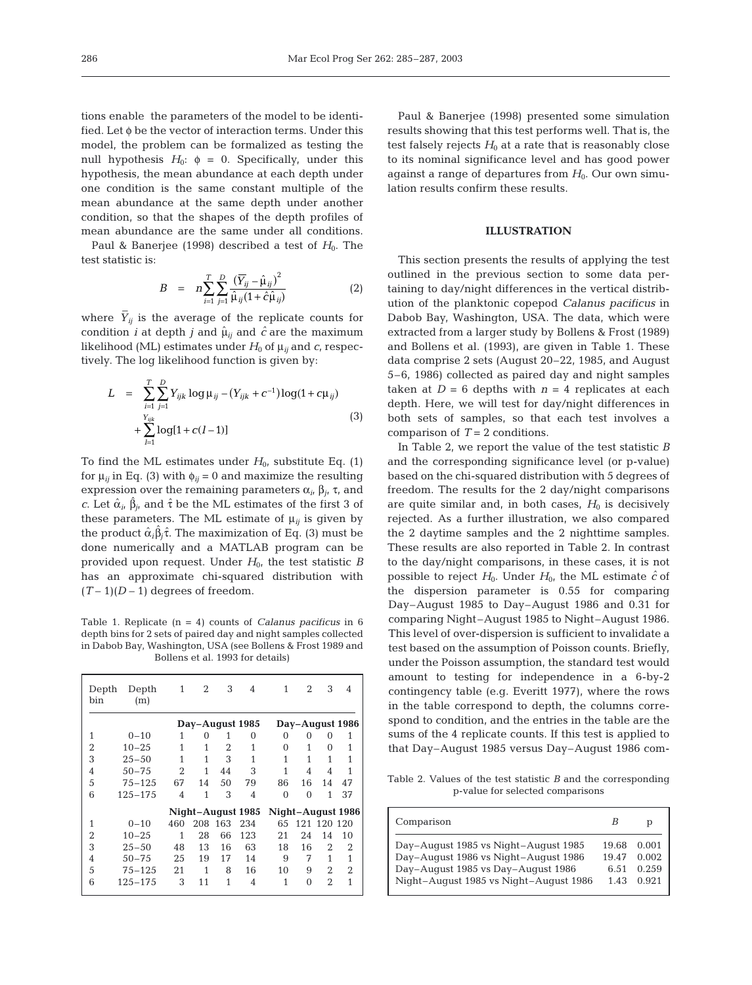tions enable the parameters of the model to be identified. Let φ be the vector of interaction terms. Under this model, the problem can be formalized as testing the null hypothesis  $H_0$ :  $φ = 0$ . Specifically, under this hypothesis, the mean abundance at each depth under one condition is the same constant multiple of the mean abundance at the same depth under another condition, so that the shapes of the depth profiles of mean abundance are the same under all conditions.

Paul & Banerjee (1998) described a test of  $H_0$ . The test statistic is:

$$
B = n \sum_{i=1}^{T} \sum_{j=1}^{D} \frac{(\overline{Y}_{ij} - \hat{\mu}_{ij})^2}{\hat{\mu}_{ij} (1 + \hat{c} \hat{\mu}_{ij})}
$$
(2)

where *Y \_ ij* is the average of the replicate counts for condition *i* at depth *j* and  $\hat{\mu}_{ij}$  and  $\hat{c}$  are the maximum likelihood (ML) estimates under  $H_0$  of  $\mu_{ij}$  and  $c$ , respectively. The log likelihood function is given by:

$$
L = \sum_{i=1}^{T} \sum_{j=1}^{D} Y_{ijk} \log \mu_{ij} - (Y_{ijk} + c^{-1}) \log(1 + c\mu_{ij})
$$
  
+ 
$$
\sum_{l=1}^{Y_{ijk}} \log[1 + c(l-1)]
$$
 (3)

To find the ML estimates under  $H_0$ , substitute Eq. (1) for  $\mu_{ij}$  in Eq. (3) with  $\phi_{ij} = 0$  and maximize the resulting expression over the remaining parameters α*i*, β*j*, τ, and *c*. Let  $\hat{\alpha}_i$ ,  $\hat{\beta}_j$ , and  $\hat{\tau}$  be the ML estimates of the first 3 of these parameters. The ML estimate of  $\mu_{ij}$  is given by the product  $\hat{\alpha}_i \hat{\beta}_j \hat{\tau}$ . The maximization of Eq. (3) must be done numerically and a MATLAB program can be provided upon request. Under  $H_0$ , the test statistic *B* has an approximate chi-squared distribution with  $(T-1)(D-1)$  degrees of freedom.

Table 1. Replicate (n = 4) counts of *Calanus pacificus* in 6 depth bins for 2 sets of paired day and night samples collected in Dabob Bay, Washington, USA (see Bollens & Frost 1989 and Bollens et al. 1993 for details)

| Depth<br>bin                           | Depth<br>(m)    | 1              | 2   | 3   | 4              | 1        | 2               | 3           | 4  |  |
|----------------------------------------|-----------------|----------------|-----|-----|----------------|----------|-----------------|-------------|----|--|
|                                        | Day-August 1985 |                |     |     |                |          | Day-August 1986 |             |    |  |
| 1                                      | $0 - 10$        | 1              | 0   | 1   | 0              | 0        | 0               | 0           | 1  |  |
| 2                                      | $10 - 25$       | 1              | 1   | 2   | 1              | $\Omega$ | 1               | $\Omega$    | 1  |  |
| 3                                      | $25 - 50$       | 1              | 1   | 3   | 1              | 1        | 1               | 1           |    |  |
| 4                                      | $50 - 75$       | 2              | 1   | 44  | 3              | 1        | 4               | 4           | 1  |  |
| 5                                      | $75 - 125$      | 67             | 14  | 50  | 79             | 86       | 16              | 14          | 47 |  |
| 6                                      | $125 - 175$     | $\overline{4}$ | 1   | 3   | $\overline{4}$ | $\Omega$ | $\Omega$        | 1           | 37 |  |
| Night-August 1985<br>Night-August 1986 |                 |                |     |     |                |          |                 |             |    |  |
| 1                                      | $0 - 10$        | 460            | 208 | 163 | 234            | 65       |                 | 121 120 120 |    |  |
| 2                                      | $10 - 25$       | 1              | 28  | 66  | 123            | 21       | 24              | 14          | 10 |  |
| 3                                      | $25 - 50$       | 48             | 13  | 16  | 63             | 18       | 16              | 2           | 2  |  |
| 4                                      | $50 - 75$       | 25             | 19  | 17  | 14             | 9        | 7               | 1           | 1  |  |
| 5                                      | $75 - 125$      | 21             | 1   | 8   | 16             | 10       | 9               | 2           | 2  |  |
| 6                                      | 125-175         | 3              | 11  | 1   | 4              | 1        | $\Omega$        | 2           | 1  |  |

Paul & Banerjee (1998) presented some simulation results showing that this test performs well. That is, the test falsely rejects  $H_0$  at a rate that is reasonably close to its nominal significance level and has good power against a range of departures from  $H_0$ . Our own simulation results confirm these results.

### **ILLUSTRATION**

This section presents the results of applying the test outlined in the previous section to some data pertaining to day/night differences in the vertical distribution of the planktonic copepod *Calanus pacificus* in Dabob Bay, Washington, USA. The data, which were extracted from a larger study by Bollens & Frost (1989) and Bollens et al. (1993), are given in Table 1. These data comprise 2 sets (August 20–22, 1985, and August 5–6, 1986) collected as paired day and night samples taken at  $D = 6$  depths with  $n = 4$  replicates at each depth. Here, we will test for day/night differences in both sets of samples, so that each test involves a comparison of  $T = 2$  conditions.

In Table 2, we report the value of the test statistic *B* and the corresponding significance level (or p-value) based on the chi-squared distribution with 5 degrees of freedom. The results for the 2 day/night comparisons are quite similar and, in both cases,  $H_0$  is decisively rejected. As a further illustration, we also compared the 2 daytime samples and the 2 nighttime samples. These results are also reported in Table 2. In contrast to the day/night comparisons, in these cases, it is not possible to reject  $H_0$ . Under  $H_0$ , the ML estimate  $\hat{c}$  of the dispersion parameter is 0.55 for comparing Day–August 1985 to Day–August 1986 and 0.31 for comparing Night–August 1985 to Night–August 1986. This level of over-dispersion is sufficient to invalidate a test based on the assumption of Poisson counts. Briefly, under the Poisson assumption, the standard test would amount to testing for independence in a 6-by-2 contingency table (e.g. Everitt 1977), where the rows in the table correspond to depth, the columns correspond to condition, and the entries in the table are the sums of the 4 replicate counts. If this test is applied to that Day–August 1985 versus Day–August 1986 com-

Table 2. Values of the test statistic *B* and the corresponding p-value for selected comparisons

| Comparison                             | B     |       |
|----------------------------------------|-------|-------|
| Day-August 1985 vs Night-August 1985   | 19.68 | 0.001 |
| Day-August 1986 vs Night-August 1986   | 19.47 | 0.002 |
| Day-August 1985 vs Day-August 1986     | 6.51  | 0.259 |
| Night-August 1985 vs Night-August 1986 | 1.43  | 0.921 |